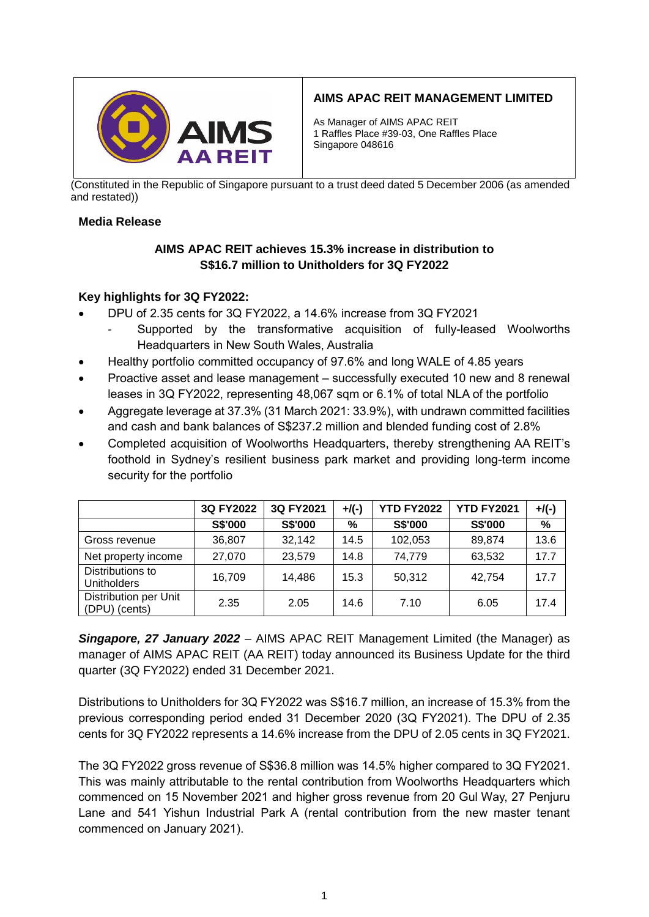

# **AIMS APAC REIT MANAGEMENT LIMITED**

As Manager of AIMS APAC REIT 1 Raffles Place #39-03, One Raffles Place Singapore 048616

(Constituted in the Republic of Singapore pursuant to a trust deed dated 5 December 2006 (as amended and restated))

#### **Media Release**

# **AIMS APAC REIT achieves 15.3% increase in distribution to S\$16.7 million to Unitholders for 3Q FY2022**

#### **Key highlights for 3Q FY2022:**

- DPU of 2.35 cents for 3Q FY2022, a 14.6% increase from 3Q FY2021
	- Supported by the transformative acquisition of fully-leased Woolworths Headquarters in New South Wales, Australia
- Healthy portfolio committed occupancy of 97.6% and long WALE of 4.85 years
- Proactive asset and lease management successfully executed 10 new and 8 renewal leases in 3Q FY2022, representing 48,067 sqm or 6.1% of total NLA of the portfolio
- Aggregate leverage at 37.3% (31 March 2021: 33.9%), with undrawn committed facilities and cash and bank balances of S\$237.2 million and blended funding cost of 2.8%
- Completed acquisition of Woolworths Headquarters, thereby strengthening AA REIT's foothold in Sydney's resilient business park market and providing long-term income security for the portfolio

|                                        | 3Q FY2022 | 3Q FY2021 | $+$ /(-) | <b>YTD FY2022</b> | <b>YTD FY2021</b> | $+$ /(-) |
|----------------------------------------|-----------|-----------|----------|-------------------|-------------------|----------|
|                                        | S\$'000   | S\$'000   | %        | S\$'000           | S\$'000           | %        |
| Gross revenue                          | 36,807    | 32,142    | 14.5     | 102,053           | 89,874            | 13.6     |
| Net property income                    | 27,070    | 23,579    | 14.8     | 74,779            | 63,532            | 17.7     |
| Distributions to<br><b>Unitholders</b> | 16,709    | 14,486    | 15.3     | 50,312            | 42,754            | 17.7     |
| Distribution per Unit<br>(DPU) (cents) | 2.35      | 2.05      | 14.6     | 7.10              | 6.05              | 17.4     |

*Singapore, 27 January 2022* – AIMS APAC REIT Management Limited (the Manager) as manager of AIMS APAC REIT (AA REIT) today announced its Business Update for the third quarter (3Q FY2022) ended 31 December 2021.

Distributions to Unitholders for 3Q FY2022 was S\$16.7 million, an increase of 15.3% from the previous corresponding period ended 31 December 2020 (3Q FY2021). The DPU of 2.35 cents for 3Q FY2022 represents a 14.6% increase from the DPU of 2.05 cents in 3Q FY2021.

The 3Q FY2022 gross revenue of S\$36.8 million was 14.5% higher compared to 3Q FY2021. This was mainly attributable to the rental contribution from Woolworths Headquarters which commenced on 15 November 2021 and higher gross revenue from 20 Gul Way, 27 Penjuru Lane and 541 Yishun Industrial Park A (rental contribution from the new master tenant commenced on January 2021).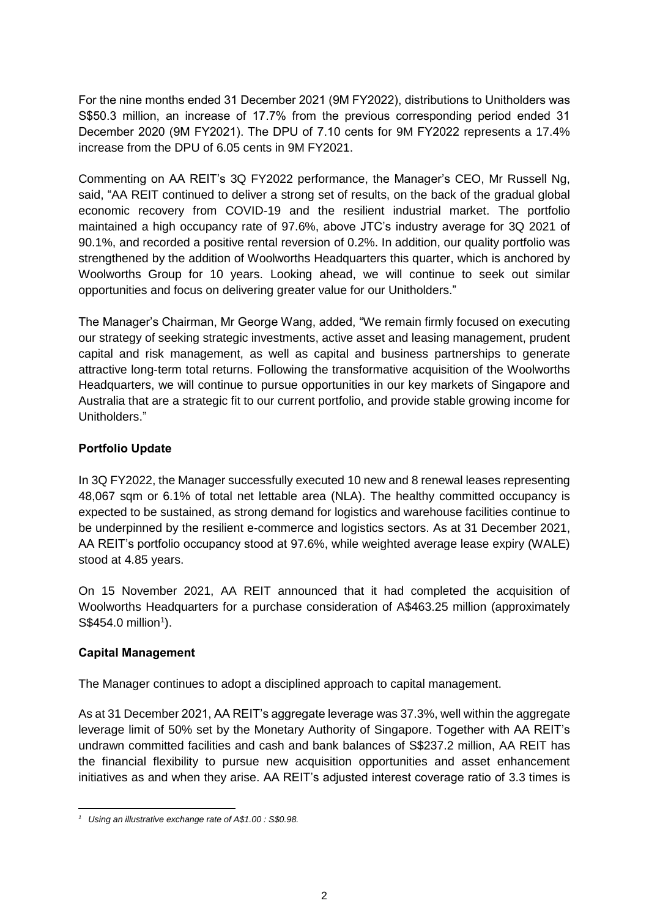For the nine months ended 31 December 2021 (9M FY2022), distributions to Unitholders was S\$50.3 million, an increase of 17.7% from the previous corresponding period ended 31 December 2020 (9M FY2021). The DPU of 7.10 cents for 9M FY2022 represents a 17.4% increase from the DPU of 6.05 cents in 9M FY2021.

Commenting on AA REIT's 3Q FY2022 performance, the Manager's CEO, Mr Russell Ng, said, "AA REIT continued to deliver a strong set of results, on the back of the gradual global economic recovery from COVID-19 and the resilient industrial market. The portfolio maintained a high occupancy rate of 97.6%, above JTC's industry average for 3Q 2021 of 90.1%, and recorded a positive rental reversion of 0.2%. In addition, our quality portfolio was strengthened by the addition of Woolworths Headquarters this quarter, which is anchored by Woolworths Group for 10 years. Looking ahead, we will continue to seek out similar opportunities and focus on delivering greater value for our Unitholders."

The Manager's Chairman, Mr George Wang, added, "We remain firmly focused on executing our strategy of seeking strategic investments, active asset and leasing management, prudent capital and risk management, as well as capital and business partnerships to generate attractive long-term total returns. Following the transformative acquisition of the Woolworths Headquarters, we will continue to pursue opportunities in our key markets of Singapore and Australia that are a strategic fit to our current portfolio, and provide stable growing income for Unitholders."

# **Portfolio Update**

In 3Q FY2022, the Manager successfully executed 10 new and 8 renewal leases representing 48,067 sqm or 6.1% of total net lettable area (NLA). The healthy committed occupancy is expected to be sustained, as strong demand for logistics and warehouse facilities continue to be underpinned by the resilient e-commerce and logistics sectors. As at 31 December 2021, AA REIT's portfolio occupancy stood at 97.6%, while weighted average lease expiry (WALE) stood at 4.85 years.

On 15 November 2021, AA REIT announced that it had completed the acquisition of Woolworths Headquarters for a purchase consideration of A\$463.25 million (approximately  $S$454.0$  million<sup>1</sup>).

# **Capital Management**

The Manager continues to adopt a disciplined approach to capital management.

As at 31 December 2021, AA REIT's aggregate leverage was 37.3%, well within the aggregate leverage limit of 50% set by the Monetary Authority of Singapore. Together with AA REIT's undrawn committed facilities and cash and bank balances of S\$237.2 million, AA REIT has the financial flexibility to pursue new acquisition opportunities and asset enhancement initiatives as and when they arise. AA REIT's adjusted interest coverage ratio of 3.3 times is

 $\overline{a}$ *<sup>1</sup> Using an illustrative exchange rate of A\$1.00 : S\$0.98.*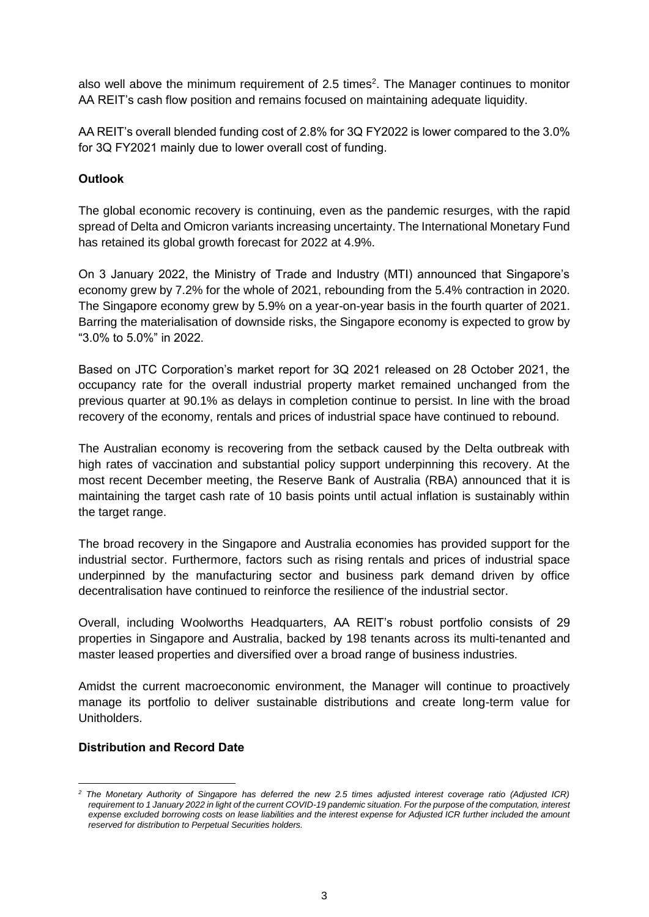also well above the minimum requirement of 2.5 times<sup>2</sup>. The Manager continues to monitor AA REIT's cash flow position and remains focused on maintaining adequate liquidity.

AA REIT's overall blended funding cost of 2.8% for 3Q FY2022 is lower compared to the 3.0% for 3Q FY2021 mainly due to lower overall cost of funding.

# **Outlook**

The global economic recovery is continuing, even as the pandemic resurges, with the rapid spread of Delta and Omicron variants increasing uncertainty. The International Monetary Fund has retained its global growth forecast for 2022 at 4.9%.

On 3 January 2022, the Ministry of Trade and Industry (MTI) announced that Singapore's economy grew by 7.2% for the whole of 2021, rebounding from the 5.4% contraction in 2020. The Singapore economy grew by 5.9% on a year-on-year basis in the fourth quarter of 2021. Barring the materialisation of downside risks, the Singapore economy is expected to grow by "3.0% to 5.0%" in 2022.

Based on JTC Corporation's market report for 3Q 2021 released on 28 October 2021, the occupancy rate for the overall industrial property market remained unchanged from the previous quarter at 90.1% as delays in completion continue to persist. In line with the broad recovery of the economy, rentals and prices of industrial space have continued to rebound.

The Australian economy is recovering from the setback caused by the Delta outbreak with high rates of vaccination and substantial policy support underpinning this recovery. At the most recent December meeting, the Reserve Bank of Australia (RBA) announced that it is maintaining the target cash rate of 10 basis points until actual inflation is sustainably within the target range.

The broad recovery in the Singapore and Australia economies has provided support for the industrial sector. Furthermore, factors such as rising rentals and prices of industrial space underpinned by the manufacturing sector and business park demand driven by office decentralisation have continued to reinforce the resilience of the industrial sector.

Overall, including Woolworths Headquarters, AA REIT's robust portfolio consists of 29 properties in Singapore and Australia, backed by 198 tenants across its multi-tenanted and master leased properties and diversified over a broad range of business industries.

Amidst the current macroeconomic environment, the Manager will continue to proactively manage its portfolio to deliver sustainable distributions and create long-term value for Unitholders.

# **Distribution and Record Date**

 $\overline{a}$ *<sup>2</sup> The Monetary Authority of Singapore has deferred the new 2.5 times adjusted interest coverage ratio (Adjusted ICR) requirement to 1 January 2022 in light of the current COVID-19 pandemic situation. For the purpose of the computation, interest expense excluded borrowing costs on lease liabilities and the interest expense for Adjusted ICR further included the amount reserved for distribution to Perpetual Securities holders.*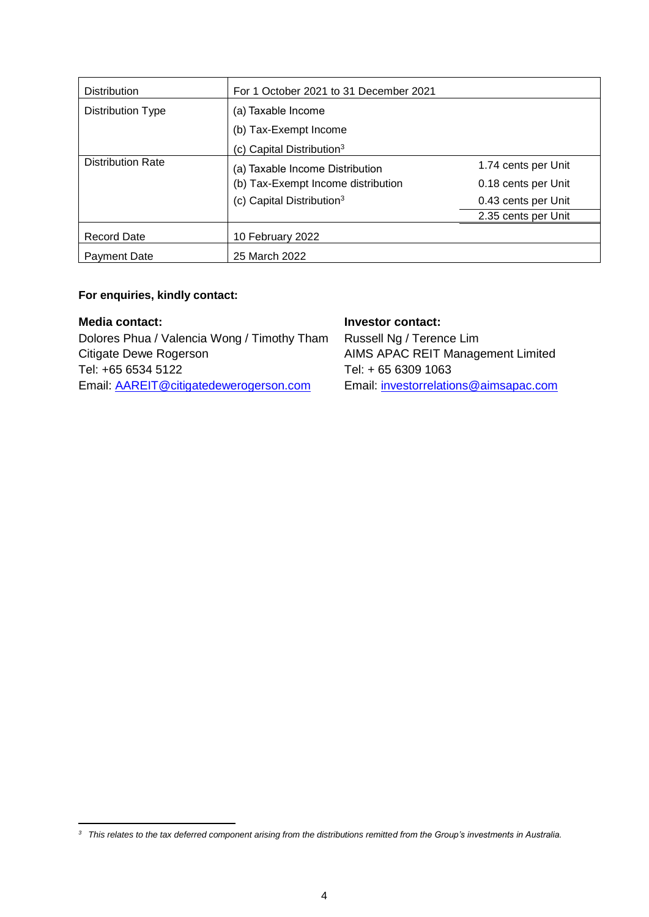| <b>Distribution</b>      | For 1 October 2021 to 31 December 2021 |                     |  |  |  |
|--------------------------|----------------------------------------|---------------------|--|--|--|
| <b>Distribution Type</b> | (a) Taxable Income                     |                     |  |  |  |
|                          | (b) Tax-Exempt Income                  |                     |  |  |  |
|                          | (c) Capital Distribution <sup>3</sup>  |                     |  |  |  |
| <b>Distribution Rate</b> | (a) Taxable Income Distribution        | 1.74 cents per Unit |  |  |  |
|                          | (b) Tax-Exempt Income distribution     | 0.18 cents per Unit |  |  |  |
|                          | (c) Capital Distribution <sup>3</sup>  | 0.43 cents per Unit |  |  |  |
|                          |                                        | 2.35 cents per Unit |  |  |  |
| <b>Record Date</b>       | 10 February 2022                       |                     |  |  |  |
| <b>Payment Date</b>      | 25 March 2022                          |                     |  |  |  |

#### **For enquiries, kindly contact:**

#### **Media contact:**

 $\overline{a}$ 

Dolores Phua / Valencia Wong / Timothy Tham Citigate Dewe Rogerson Tel: +65 6534 5122 Email: [AAREIT@citigatedewerogerson.com](mailto:AAREIT@citigatedewerogerson.com)

### **Investor contact:**

Russell Ng / Terence Lim AIMS APAC REIT Management Limited Tel: + 65 6309 1063 Email: [investorrelations@aimsapac.com](mailto:investorrelations@aimsapac.com)

*<sup>3</sup> This relates to the tax deferred component arising from the distributions remitted from the Group's investments in Australia.*